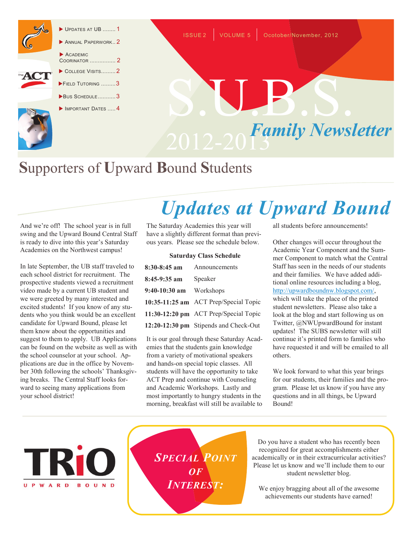

#### UPDATES AT UB ........ 1

ANNUAL PAPERWORK..2 ACADEMIC COORINATOR ................ 2

- COLLEGE VISITS.........2
- FIELD TUTORING .........3
	- BUS SCHEDULE...........3
- IMPORTANT DATES ..... 4



ISSUE 2 VOLUME 5 Ocotober/November, 2012

### **S**upporters of **U**pward **B**ound **S**tudents

And we're off! The school year is in full swing and the Upward Bound Central Staff is ready to dive into this year's Saturday Academies on the Northwest campus!

In late September, the UB staff traveled to each school district for recruitment. The prospective students viewed a recruitment video made by a current UB student and we were greeted by many interested and excited students! If you know of any students who you think would be an excellent candidate for Upward Bound, please let them know about the opportunities and suggest to them to apply. UB Applications can be found on the website as well as with the school counselor at your school. Applications are due in the office by November 30th following the schools' Thanksgiving breaks. The Central Staff looks forward to seeing many applications from your school district!

## *Updates at Upward Bound*

The Saturday Academies this year will have a slightly different format than previous years. Please see the schedule below.

#### **Saturday Class Schedule**

| 8:30-8:45 am Announcements |                                       |
|----------------------------|---------------------------------------|
| 8:45-9:35 am               | Speaker                               |
| $9:40-10:30$ am Workshops  |                                       |
|                            | 10:35-11:25 am ACT Prep/Special Topic |
|                            | 11:30-12:20 pm ACT Prep/Special Topic |
|                            | 12:20-12:30 pm Stipends and Check-Out |

It is our goal through these Saturday Academies that the students gain knowledge from a variety of motivational speakers and hands-on special topic classes. All students will have the opportunity to take ACT Prep and continue with Counseling and Academic Workshops. Lastly and most importantly to hungry students in the morning, breakfast will still be available to all students before announcements!

Other changes will occur throughout the Academic Year Component and the Summer Component to match what the Central Staff has seen in the needs of our students and their families. We have added additional online resources including a blog, [http://upwardboundnw.blogspot.com/,](http://upwardboundnw.blogspot.com/)  which will take the place of the printed student newsletters. Please also take a look at the blog and start following us on Twitter, @NWUpwardBound for instant updates! The SUBS newsletter will still continue it's printed form to families who have requested it and will be emailed to all others.

We look forward to what this year brings for our students, their families and the program. Please let us know if you have any questions and in all things, be Upward Bound!

**UPWARD BOUND**  *SPECIAL POINT OF INTEREST:*

Do you have a student who has recently been recognized for great accomplishments either academically or in their extracurricular activities? Please let us know and we'll include them to our student newsletter blog.

We enjoy bragging about all of the awesome achievements our students have earned!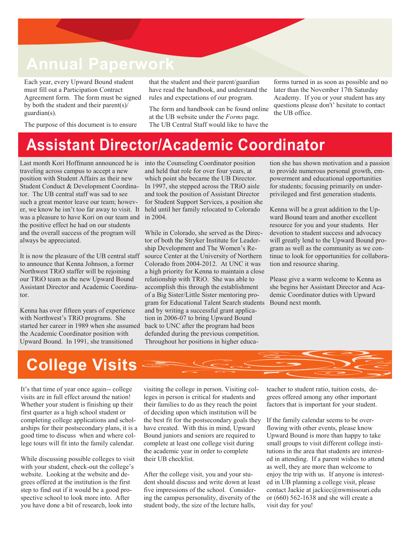#### **Annual Paperwork**

Each year, every Upward Bound student must fill out a Participation Contract Agreement form. The form must be signed by both the student and their parent(s)/ guardian(s).

The purpose of this document is to ensure

that the student and their parent/guardian have read the handbook, and understand the rules and expectations of our program.

The form and handbook can be found online at the UB website under the *Forms* page. The UB Central Staff would like to have the forms turned in as soon as possible and no later than the November 17th Saturday Academy. If you or your student has any questions please don't' hesitate to contact the UB office.

#### **Assistant Director/Academic Coordinator**

Last month Kori Hoffmann announced he is traveling across campus to accept a new position with Student Affairs as their new Student Conduct & Development Coordinator. The UB central staff was sad to see such a great mentor leave our team; however, we know he isn't too far away to visit. It was a pleasure to have Kori on our team and in 2004. the positive effect he had on our students and the overall success of the program will always be appreciated.

It is now the pleasure of the UB central staff to announce that Kenna Johnson, a former Northwest TRiO staffer will be rejoining our TRiO team as the new Upward Bound Assistant Director and Academic Coordinator.

Kenna has over fifteen years of experience with Northwest's TRiO programs. She started her career in 1989 when she assumed the Academic Coordinator position with Upward Bound. In 1991, she transitioned

into the Counseling Coordinator position and held that role for over four years, at which point she became the UB Director. In 1997, she stepped across the TRiO aisle and took the position of Assistant Director for Student Support Services, a position she held until her family relocated to Colorado

While in Colorado, she served as the Director of both the Stryker Institute for Leadership Development and The Women's Resource Center at the University of Northern Colorado from 2004-2012. At UNC it was a high priority for Kenna to maintain a close relationship with TRiO. She was able to accomplish this through the establishment of a Big Sister/Little Sister mentoring program for Educational Talent Search students and by writing a successful grant application in 2006-07 to bring Upward Bound back to UNC after the program had been defunded during the previous competition. Throughout her positions in higher education she has shown motivation and a passion to provide numerous personal growth, empowerment and educational opportunities for students; focusing primarily on underprivileged and first generation students.

Kenna will be a great addition to the Upward Bound team and another excellent resource for you and your students. Her devotion to student success and advocacy will greatly lend to the Upward Bound program as well as the community as we continue to look for opportunities for collaboration and resource sharing.

Please give a warm welcome to Kenna as she begins her Assistant Director and Academic Coordinator duties with Upward Bound next month.

# **College Visits**

It's that time of year once again-- college visits are in full effect around the nation! Whether your student is finishing up their first quarter as a high school student or completing college applications and scholarships for their postsecondary plans, it is a good time to discuss when and where college tours will fit into the family calendar.

While discussing possible colleges to visit with your student, check-out the college's website. Looking at the website and degrees offered at the institution is the first step to find out if it would be a good prospective school to look more into. After you have done a bit of research, look into

visiting the college in person. Visiting colleges in person is critical for students and their families to do as they reach the point of deciding upon which institution will be the best fit for the postsecondary goals they have created. With this in mind, Upward Bound juniors and seniors are required to complete at least one college visit during the academic year in order to complete their UB checklist.

After the college visit, you and your student should discuss and write down at least five impressions of the school. Considering the campus personality, diversity of the student body, the size of the lecture halls,

teacher to student ratio, tuition costs, degrees offered among any other important factors that is important for your student.

If the family calendar seems to be overflowing with other events, please know Upward Bound is more than happy to take small groups to visit different college institutions in the area that students are interested in attending. If a parent wishes to attend as well, they are more than welcome to enjoy the trip with us. If anyone is interested in UB planning a college visit, please contact Jackie at jackiec@nwmissouri.edu or (660) 562-1638 and she will create a visit day for you!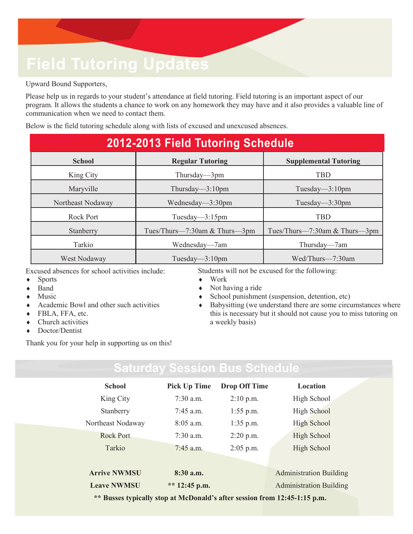## **Field Tutoring Updates**

Upward Bound Supporters,

Please help us in regards to your student's attendance at field tutoring. Field tutoring is an important aspect of our program. It allows the students a chance to work on any homework they may have and it also provides a valuable line of communication when we need to contact them.

Below is the field tutoring schedule along with lists of excused and unexcused absences.

| 2012-2013 Field Tutoring Schedule |                               |                               |  |  |
|-----------------------------------|-------------------------------|-------------------------------|--|--|
| <b>School</b>                     | <b>Regular Tutoring</b>       | <b>Supplemental Tutoring</b>  |  |  |
| King City                         | Thursday— $3$ pm              | <b>TBD</b>                    |  |  |
| Maryville                         | Thursday— $3:10$ pm           | Tuesday— $3:10$ pm            |  |  |
| Northeast Nodaway                 | Wednesday— $3:30$ pm          | Tuesday— $3:30$ pm            |  |  |
| Rock Port                         | Tuesday— $3:15$ pm            | <b>TBD</b>                    |  |  |
| Stanberry                         | Tues/Thurs—7:30am & Thurs—3pm | Tues/Thurs-7:30am & Thurs-3pm |  |  |
| Tarkio                            | Wednesday—7am                 | Thursday-7am                  |  |  |
| West Nodaway                      | Tuesday— $3:10$ pm            | Wed/Thurs-7:30am              |  |  |

Excused absences for school activities include:

- ◆ Sports
- ◆ Band
- Music
- Academic Bowl and other such activities
- FBLA, FFA, etc.
- Church activities
- Doctor/Dentist

Thank you for your help in supporting us on this!

Students will not be excused for the following:

- Work
- Not having a ride
- School punishment (suspension, detention, etc)
- Babysitting (we understand there are some circumstances where this is necessary but it should not cause you to miss tutoring on a weekly basis)

| <b>School</b>                                                             | <b>Pick Up Time</b> | <b>Drop Off Time</b> | Location                       |  |  |
|---------------------------------------------------------------------------|---------------------|----------------------|--------------------------------|--|--|
| King City                                                                 | $7:30$ a.m.         | $2:10$ p.m.          | High School                    |  |  |
| Stanberry                                                                 | $7:45$ a.m.         | $1:55$ p.m.          | High School                    |  |  |
| Northeast Nodaway                                                         | $8:05$ a.m.         | $1:35$ p.m.          | High School                    |  |  |
| <b>Rock Port</b>                                                          | $7:30$ a.m.         | $2:20$ p.m.          | High School                    |  |  |
| Tarkio                                                                    | $7:45$ a.m.         | $2:05$ p.m.          | High School                    |  |  |
|                                                                           |                     |                      |                                |  |  |
| <b>Arrive NWMSU</b>                                                       | 8:30 a.m.           |                      | <b>Administration Building</b> |  |  |
| <b>Leave NWMSU</b>                                                        | ** $12:45$ p.m.     |                      | <b>Administration Building</b> |  |  |
| ** Busses typically stop at McDonald's after session from 12:45-1:15 p.m. |                     |                      |                                |  |  |

**Saturday Session Bus Schedule**